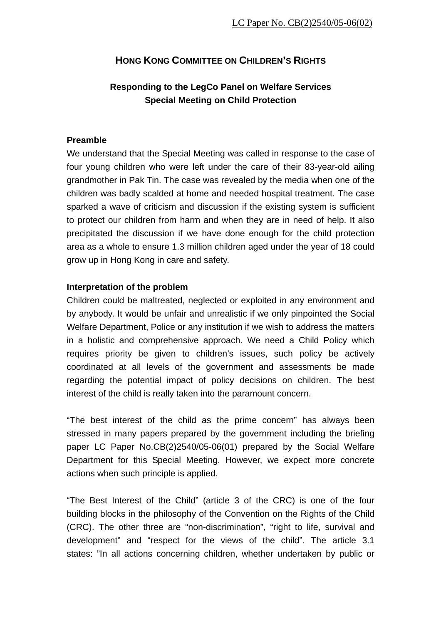# **HONG KONG COMMITTEE ON CHILDREN'S RIGHTS**

# **Responding to the LegCo Panel on Welfare Services Special Meeting on Child Protection**

### **Preamble**

We understand that the Special Meeting was called in response to the case of four young children who were left under the care of their 83-year-old ailing grandmother in Pak Tin. The case was revealed by the media when one of the children was badly scalded at home and needed hospital treatment. The case sparked a wave of criticism and discussion if the existing system is sufficient to protect our children from harm and when they are in need of help. It also precipitated the discussion if we have done enough for the child protection area as a whole to ensure 1.3 million children aged under the year of 18 could grow up in Hong Kong in care and safety.

#### **Interpretation of the problem**

Children could be maltreated, neglected or exploited in any environment and by anybody. It would be unfair and unrealistic if we only pinpointed the Social Welfare Department, Police or any institution if we wish to address the matters in a holistic and comprehensive approach. We need a Child Policy which requires priority be given to children's issues, such policy be actively coordinated at all levels of the government and assessments be made regarding the potential impact of policy decisions on children. The best interest of the child is really taken into the paramount concern.

"The best interest of the child as the prime concern" has always been stressed in many papers prepared by the government including the briefing paper LC Paper No.CB(2)2540/05-06(01) prepared by the Social Welfare Department for this Special Meeting. However, we expect more concrete actions when such principle is applied.

"The Best Interest of the Child" (article 3 of the CRC) is one of the four building blocks in the philosophy of the Convention on the Rights of the Child (CRC). The other three are "non-discrimination", "right to life, survival and development" and "respect for the views of the child". The article 3.1 states: "In all actions concerning children, whether undertaken by public or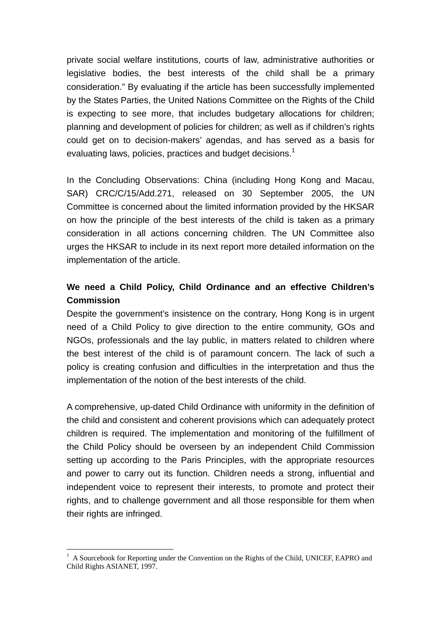private social welfare institutions, courts of law, administrative authorities or legislative bodies, the best interests of the child shall be a primary consideration." By evaluating if the article has been successfully implemented by the States Parties, the United Nations Committee on the Rights of the Child is expecting to see more, that includes budgetary allocations for children; planning and development of policies for children; as well as if children's rights could get on to decision-makers' agendas, and has served as a basis for evaluating laws, policies, practices and budget decisions.<sup>1</sup>

In the Concluding Observations: China (including Hong Kong and Macau, SAR) CRC/C/15/Add.271, released on 30 September 2005, the UN Committee is concerned about the limited information provided by the HKSAR on how the principle of the best interests of the child is taken as a primary consideration in all actions concerning children. The UN Committee also urges the HKSAR to include in its next report more detailed information on the implementation of the article.

### **We need a Child Policy, Child Ordinance and an effective Children's Commission**

Despite the government's insistence on the contrary, Hong Kong is in urgent need of a Child Policy to give direction to the entire community, GOs and NGOs, professionals and the lay public, in matters related to children where the best interest of the child is of paramount concern. The lack of such a policy is creating confusion and difficulties in the interpretation and thus the implementation of the notion of the best interests of the child.

A comprehensive, up-dated Child Ordinance with uniformity in the definition of the child and consistent and coherent provisions which can adequately protect children is required. The implementation and monitoring of the fulfillment of the Child Policy should be overseen by an independent Child Commission setting up according to the Paris Principles, with the appropriate resources and power to carry out its function. Children needs a strong, influential and independent voice to represent their interests, to promote and protect their rights, and to challenge government and all those responsible for them when their rights are infringed.

 $\overline{a}$ 1 A Sourcebook for Reporting under the Convention on the Rights of the Child, UNICEF, EAPRO and Child Rights ASIANET, 1997.